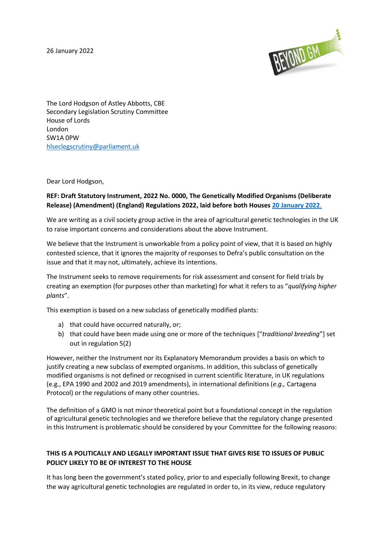26 January 2022



The Lord Hodgson of Astley Abbotts, CBE Secondary Legislation Scrutiny Committee House of Lords London SW1A 0PW [hlseclegscrutiny@parliament.uk](mailto:hlseclegscrutiny@parliament.uk)

Dear Lord Hodgson,

### **REF: Draft Statutory Instrument, 2022 No. 0000, The Genetically Modified Organisms (Deliberate Release) (Amendment) (England) Regulations 2022, laid before both Houses [20 January 2022](https://statutoryinstruments.parliament.uk/instrument/ZFUQvuiI/)**.

We are writing as a civil society group active in the area of agricultural genetic technologies in the UK to raise important concerns and considerations about the above Instrument.

We believe that the Instrument is unworkable from a policy point of view, that it is based on highly contested science, that it ignores the majority of responses to Defra's public consultation on the issue and that it may not, ultimately, achieve its intentions.

The Instrument seeks to remove requirements for risk assessment and consent for field trials by creating an exemption (for purposes other than marketing) for what it refers to as "*qualifying higher plants*".

This exemption is based on a new subclass of genetically modified plants:

- a) that could have occurred naturally, or;
- b) that could have been made using one or more of the techniques ["*traditional breeding*"] set out in regulation 5(2)

However, neither the Instrument nor its Explanatory Memorandum provides a basis on which to justify creating a new subclass of exempted organisms. In addition, this subclass of genetically modified organisms is not defined or recognised in current scientific literature, in UK regulations (e.g., EPA 1990 and 2002 and 2019 amendments), in international definitions (*e.g.,* Cartagena Protocol) or the regulations of many other countries.

The definition of a GMO is not minor theoretical point but a foundational concept in the regulation of agricultural genetic technologies and we therefore believe that the regulatory change presented in this Instrument is problematic should be considered by your Committee for the following reasons:

# **THIS IS A POLITICALLY AND LEGALLY IMPORTANT ISSUE THAT GIVES RISE TO ISSUES OF PUBLIC POLICY LIKELY TO BE OF INTEREST TO THE HOUSE**

It has long been the government's stated policy, prior to and especially following Brexit, to change the way agricultural genetic technologies are regulated in order to, in its view, reduce regulatory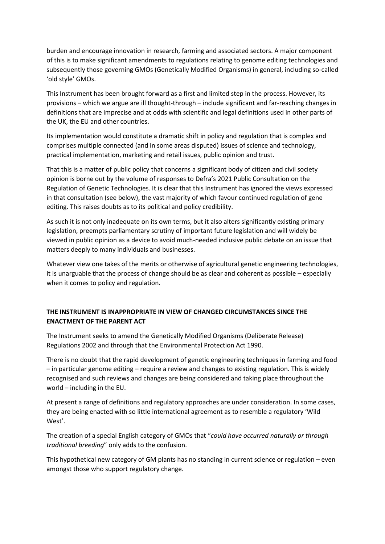burden and encourage innovation in research, farming and associated sectors. A major component of this is to make significant amendments to regulations relating to genome editing technologies and subsequently those governing GMOs (Genetically Modified Organisms) in general, including so-called 'old style' GMOs.

This Instrument has been brought forward as a first and limited step in the process. However, its provisions – which we argue are ill thought-through – include significant and far-reaching changes in definitions that are imprecise and at odds with scientific and legal definitions used in other parts of the UK, the EU and other countries.

Its implementation would constitute a dramatic shift in policy and regulation that is complex and comprises multiple connected (and in some areas disputed) issues of science and technology, practical implementation, marketing and retail issues, public opinion and trust.

That this is a matter of public policy that concerns a significant body of citizen and civil society opinion is borne out by the volume of responses to Defra's 2021 Public Consultation on the Regulation of Genetic Technologies. It is clear that this Instrument has ignored the views expressed in that consultation (see below), the vast majority of which favour continued regulation of gene editing. This raises doubts as to its political and policy credibility.

As such it is not only inadequate on its own terms, but it also alters significantly existing primary legislation, preempts parliamentary scrutiny of important future legislation and will widely be viewed in public opinion as a device to avoid much-needed inclusive public debate on an issue that matters deeply to many individuals and businesses.

Whatever view one takes of the merits or otherwise of agricultural genetic engineering technologies, it is unarguable that the process of change should be as clear and coherent as possible – especially when it comes to policy and regulation.

## **THE INSTRUMENT IS INAPPROPRIATE IN VIEW OF CHANGED CIRCUMSTANCES SINCE THE ENACTMENT OF THE PARENT ACT**

The Instrument seeks to amend the Genetically Modified Organisms (Deliberate Release) Regulations 2002 and through that the Environmental Protection Act 1990.

There is no doubt that the rapid development of genetic engineering techniques in farming and food – in particular genome editing – require a review and changes to existing regulation. This is widely recognised and such reviews and changes are being considered and taking place throughout the world – including in the EU.

At present a range of definitions and regulatory approaches are under consideration. In some cases, they are being enacted with so little international agreement as to resemble a regulatory 'Wild West'.

The creation of a special English category of GMOs that "*could have occurred naturally or through traditional breeding*" only adds to the confusion.

This hypothetical new category of GM plants has no standing in current science or regulation – even amongst those who support regulatory change.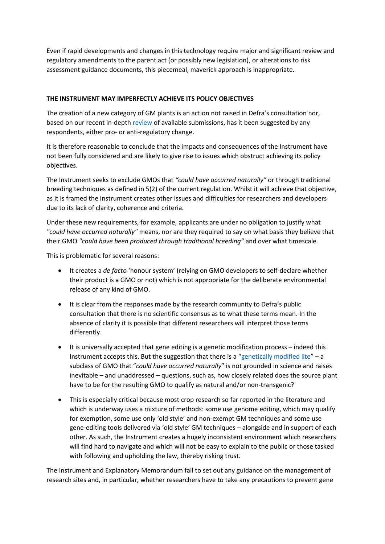Even if rapid developments and changes in this technology require major and significant review and regulatory amendments to the parent act (or possibly new legislation), or alterations to risk assessment guidance documents, this piecemeal, maverick approach is inappropriate.

### **THE INSTRUMENT MAY IMPERFECTLY ACHIEVE ITS POLICY OBJECTIVES**

The creation of a new category of GM plants is an action not raised in Defra's consultation nor, based on our recent in-depth [review](https://abiggerconversation.org/wp-content/uploads/2022/01/Filling-in-the-Blanks_Defra-Consultation_ABC_Jan2022.pdf) of available submissions, has it been suggested by any respondents, either pro- or anti-regulatory change.

It is therefore reasonable to conclude that the impacts and consequences of the Instrument have not been fully considered and are likely to give rise to issues which obstruct achieving its policy objectives.

The Instrument seeks to exclude GMOs that *"could have occurred naturally"* or through traditional breeding techniques as defined in 5(2) of the current regulation. Whilst it will achieve that objective, as it is framed the Instrument creates other issues and difficulties for researchers and developers due to its lack of clarity, coherence and criteria.

Under these new requirements, for example, applicants are under no obligation to justify what *"could have occurred naturally"* means, nor are they required to say on what basis they believe that their GMO *"could have been produced through traditional breeding"* and over what timescale.

This is problematic for several reasons:

- It creates a *de facto* 'honour system' (relying on GMO developers to self-declare whether their product is a GMO or not) which is not appropriate for the deliberate environmental release of any kind of GMO.
- It is clear from the responses made by the research community to Defra's public consultation that there is no scientific consensus as to what these terms mean. In the absence of clarity it is possible that different researchers will interpret those terms differently.
- It is universally accepted that gene editing is a genetic modification process indeed this Instrument accepts this. But the suggestion that there is a "[genetically modified lite](https://www.embopress.org/doi/full/10.1002/embr.201338365)" – a subclass of GMO that "*could have occurred naturally*" is not grounded in science and raises inevitable – and unaddressed – questions, such as, how closely related does the source plant have to be for the resulting GMO to qualify as natural and/or non-transgenic?
- This is especially critical because most crop research so far reported in the literature and which is underway uses a mixture of methods: some use genome editing, which may qualify for exemption, some use only 'old style' and non-exempt GM techniques and some use gene-editing tools delivered via 'old style' GM techniques – alongside and in support of each other. As such, the Instrument creates a hugely inconsistent environment which researchers will find hard to navigate and which will not be easy to explain to the public or those tasked with following and upholding the law, thereby risking trust.

The Instrument and Explanatory Memorandum fail to set out any guidance on the management of research sites and, in particular, whether researchers have to take any precautions to prevent gene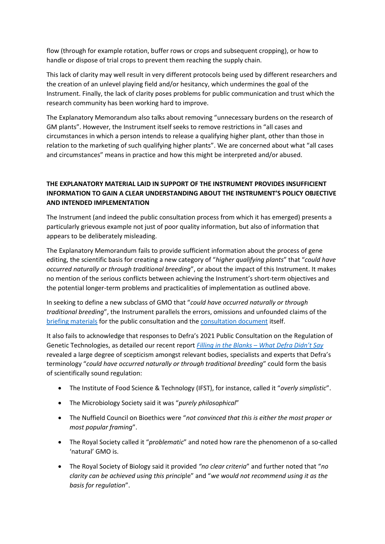flow (through for example rotation, buffer rows or crops and subsequent cropping), or how to handle or dispose of trial crops to prevent them reaching the supply chain.

This lack of clarity may well result in very different protocols being used by different researchers and the creation of an unlevel playing field and/or hesitancy, which undermines the goal of the Instrument. Finally, the lack of clarity poses problems for public communication and trust which the research community has been working hard to improve.

The Explanatory Memorandum also talks about removing "unnecessary burdens on the research of GM plants". However, the Instrument itself seeks to remove restrictions in "all cases and circumstances in which a person intends to release a qualifying higher plant, other than those in relation to the marketing of such qualifying higher plants". We are concerned about what "all cases and circumstances" means in practice and how this might be interpreted and/or abused.

## **THE EXPLANATORY MATERIAL LAID IN SUPPORT OF THE INSTRUMENT PROVIDES INSUFFICIENT INFORMATION TO GAIN A CLEAR UNDERSTANDING ABOUT THE INSTRUMENT'S POLICY OBJECTIVE AND INTENDED IMPLEMENTATION**

The Instrument (and indeed the public consultation process from which it has emerged) presents a particularly grievous example not just of poor quality information, but also of information that appears to be deliberately misleading.

The Explanatory Memorandum fails to provide sufficient information about the process of gene editing, the scientific basis for creating a new category of "*higher qualifying plants*" that "*could have occurred naturally or through traditional breeding*", or about the impact of this Instrument. It makes no mention of the serious conflicts between achieving the Instrument's short-term objectives and the potential longer-term problems and practicalities of implementation as outlined above.

In seeking to define a new subclass of GMO that "*could have occurred naturally or through traditional breeding*", the Instrument parallels the errors, omissions and unfounded claims of the [briefing materials](https://consult.defra.gov.uk/agri-food-chain-directorate/the-regulation-of-genetic-technologies/supporting_documents/Gene%20Editing%20Explainer.pdf) for the public consultation and the [consultation document](https://consult.defra.gov.uk/agri-food-chain-directorate/the-regulation-of-genetic-technologies/supporting_documents/20210106%20Gene%20editing%20consultation%20document%20FINAL.pdf) itself.

It also fails to acknowledge that responses to Defra's 2021 Public Consultation on the Regulation of Genetic Technologies, as detailed our recent report *[Filling in the Blanks](https://abiggerconversation.org/wp-content/uploads/2022/01/Filling-in-the-Blanks_Defra-Consultation_ABC_Jan2022.pdf) – What Defra Didn't Say* revealed a large degree of scepticism amongst relevant bodies, specialists and experts that Defra's terminology "*could have occurred naturally or through traditional breeding*" could form the basis of scientifically sound regulation:

- The Institute of Food Science & Technology (IFST), for instance, called it "*overly simplistic*".
- The Microbiology Society said it was "*purely philosophical*"
- The Nuffield Council on Bioethics were "*not convinced that this is either the most proper or most popular framing*".
- The Royal Society called it "*problematic*" and noted how rare the phenomenon of a so-called 'natural' GMO is.
- The Royal Society of Biology said it provided *"no clear criteria*" and further noted that "*no clarity can be achieved using this princi*ple" and "*we would not recommend using it as the basis for regulation*".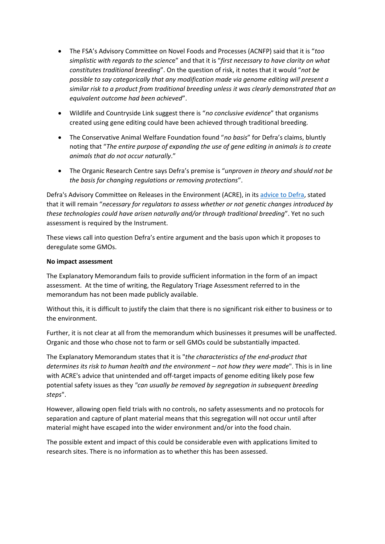- The FSA's Advisory Committee on Novel Foods and Processes (ACNFP) said that it is "*too simplistic with regards to the scienc*e" and that it is "*first necessary to have clarity on what constitutes traditional breeding*". On the question of risk, it notes that it would "*not be possible to say categorically that any modification made via genome editing will present a similar risk to a product from traditional breeding unless it was clearly demonstrated that an equivalent outcome had been achieved*".
- Wildlife and Countryside Link suggest there is "*no conclusive evidence*" that organisms created using gene editing could have been achieved through traditional breeding.
- The Conservative Animal Welfare Foundation found "*no basis*" for Defra's claims, bluntly noting that "*The entire purpose of expanding the use of gene editing in animals is to create animals that do not occur naturally*."
- The Organic Research Centre says Defra's premise is "*unproven in theory and should not be the basis for changing regulations or removing protections*".

Defra's Advisory Committee on Releases in the Environment (ACRE), in it[s advice to Defra,](https://www.gov.uk/government/publications/acre-advice-the-regulation-of-genetic-technologies/acre-advice-concerning-defras-consultation-on-the-regulation-of-genetic-technologies) stated that it will remain "*necessary for regulators to assess whether or not genetic changes introduced by these technologies could have arisen naturally and/or through traditional breeding*". Yet no such assessment is required by the Instrument.

These views call into question Defra's entire argument and the basis upon which it proposes to deregulate some GMOs.

#### **No impact assessment**

The Explanatory Memorandum fails to provide sufficient information in the form of an impact assessment. At the time of writing, the Regulatory Triage Assessment referred to in the memorandum has not been made publicly available.

Without this, it is difficult to justify the claim that there is no significant risk either to business or to the environment.

Further, it is not clear at all from the memorandum which businesses it presumes will be unaffected. Organic and those who chose not to farm or sell GMOs could be substantially impacted.

The Explanatory Memorandum states that it is "*the characteristics of the end-product that determines its risk to human health and the environment – not how they were made*". This is in line with ACRE's advice that unintended and off-target impacts of genome editing likely pose few potential safety issues as they *"can usually be removed by segregation in subsequent breeding steps*".

However, allowing open field trials with no controls, no safety assessments and no protocols for separation and capture of plant material means that this segregation will not occur until after material might have escaped into the wider environment and/or into the food chain.

The possible extent and impact of this could be considerable even with applications limited to research sites. There is no information as to whether this has been assessed.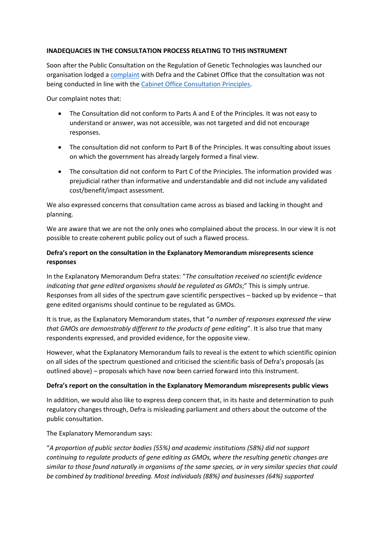#### **INADEQUACIES IN THE CONSULTATION PROCESS RELATING TO THIS INSTRUMENT**

Soon after the Public Consultation on the Regulation of Genetic Technologies was launched our organisation lodged a [complaint](https://beyond-gm.org/wp-content/uploads/2021/02/BGM_Defra_Genetic-Technologies-Consultation_FINAL.pdf) with Defra and the Cabinet Office that the consultation was not being conducted in line with the [Cabinet Office Consultation Principles.](https://assets.publishing.service.gov.uk/government/uploads/system/uploads/attachment_data/file/691383/Consultation_Principles__1_.pdf)

Our complaint notes that:

- The Consultation did not conform to Parts A and E of the Principles. It was not easy to understand or answer, was not accessible, was not targeted and did not encourage responses.
- The consultation did not conform to Part B of the Principles. It was consulting about issues on which the government has already largely formed a final view.
- The consultation did not conform to Part C of the Principles. The information provided was prejudicial rather than informative and understandable and did not include any validated cost/benefit/impact assessment.

We also expressed concerns that consultation came across as biased and lacking in thought and planning.

We are aware that we are not the only ones who complained about the process. In our view it is not possible to create coherent public policy out of such a flawed process.

## **Defra's report on the consultation in the Explanatory Memorandum misrepresents science responses**

In the Explanatory Memorandum Defra states: "*The consultation received no scientific evidence indicating that gene edited organisms should be regulated as GMOs*;" This is simply untrue. Responses from all sides of the spectrum gave scientific perspectives – backed up by evidence – that gene edited organisms should continue to be regulated as GMOs.

It is true, as the Explanatory Memorandum states, that "*a number of responses expressed the view that GMOs are demonstrably different to the products of gene editing*". It is also true that many respondents expressed, and provided evidence, for the opposite view.

However, what the Explanatory Memorandum fails to reveal is the extent to which scientific opinion on all sides of the spectrum questioned and criticised the scientific basis of Defra's proposals (as outlined above) – proposals which have now been carried forward into this Instrument.

#### **Defra's report on the consultation in the Explanatory Memorandum misrepresents public views**

In addition, we would also like to express deep concern that, in its haste and determination to push regulatory changes through, Defra is misleading parliament and others about the outcome of the public consultation.

The Explanatory Memorandum says:

"*A proportion of public sector bodies (55%) and academic institutions (58%) did not support continuing to regulate products of gene editing as GMOs, where the resulting genetic changes are similar to those found naturally in organisms of the same species, or in very similar species that could be combined by traditional breeding. Most individuals (88%) and businesses (64%) supported*